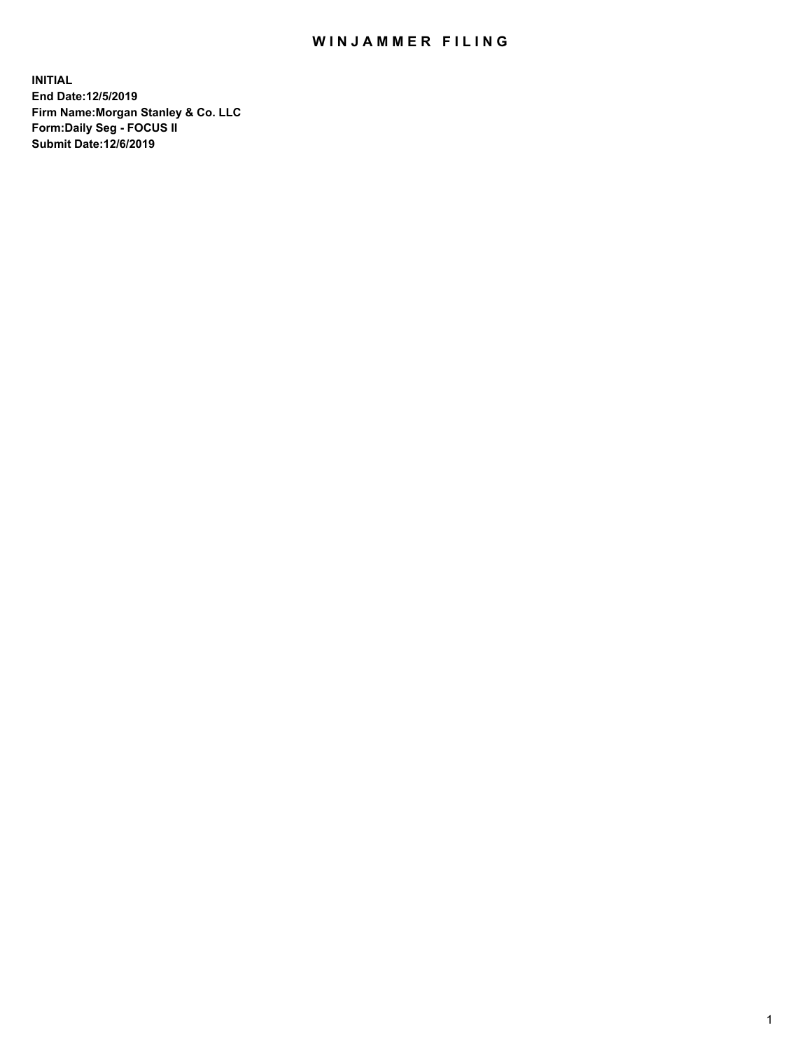## WIN JAMMER FILING

**INITIAL End Date:12/5/2019 Firm Name:Morgan Stanley & Co. LLC Form:Daily Seg - FOCUS II Submit Date:12/6/2019**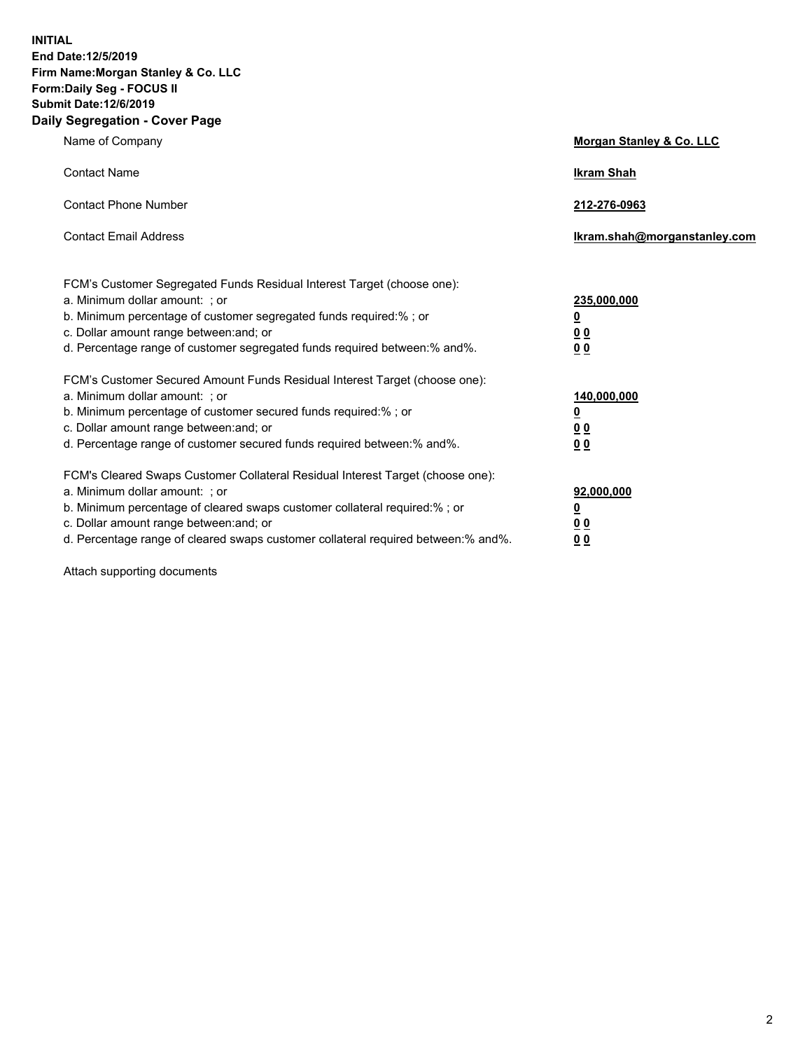**INITIAL End Date:12/5/2019 Firm Name:Morgan Stanley & Co. LLC Form:Daily Seg - FOCUS II Submit Date:12/6/2019 Daily Segregation - Cover Page**

| Name of Company                                                                                                                                                                                                                                                                                                                | Morgan Stanley & Co. LLC                               |
|--------------------------------------------------------------------------------------------------------------------------------------------------------------------------------------------------------------------------------------------------------------------------------------------------------------------------------|--------------------------------------------------------|
| <b>Contact Name</b>                                                                                                                                                                                                                                                                                                            | <b>Ikram Shah</b>                                      |
| <b>Contact Phone Number</b>                                                                                                                                                                                                                                                                                                    | 212-276-0963                                           |
| <b>Contact Email Address</b>                                                                                                                                                                                                                                                                                                   | lkram.shah@morganstanley.com                           |
| FCM's Customer Segregated Funds Residual Interest Target (choose one):<br>a. Minimum dollar amount: ; or<br>b. Minimum percentage of customer segregated funds required:% ; or<br>c. Dollar amount range between: and; or<br>d. Percentage range of customer segregated funds required between:% and%.                         | 235,000,000<br><u>0</u><br><u>0 0</u><br>0 Q           |
| FCM's Customer Secured Amount Funds Residual Interest Target (choose one):<br>a. Minimum dollar amount: ; or<br>b. Minimum percentage of customer secured funds required:%; or<br>c. Dollar amount range between: and; or<br>d. Percentage range of customer secured funds required between:% and%.                            | 140,000,000<br><u>0</u><br><u>00</u><br>0 <sub>0</sub> |
| FCM's Cleared Swaps Customer Collateral Residual Interest Target (choose one):<br>a. Minimum dollar amount: ; or<br>b. Minimum percentage of cleared swaps customer collateral required:% ; or<br>c. Dollar amount range between: and; or<br>d. Percentage range of cleared swaps customer collateral required between:% and%. | 92,000,000<br><u>0</u><br><u>00</u><br>0 <sup>0</sup>  |

Attach supporting documents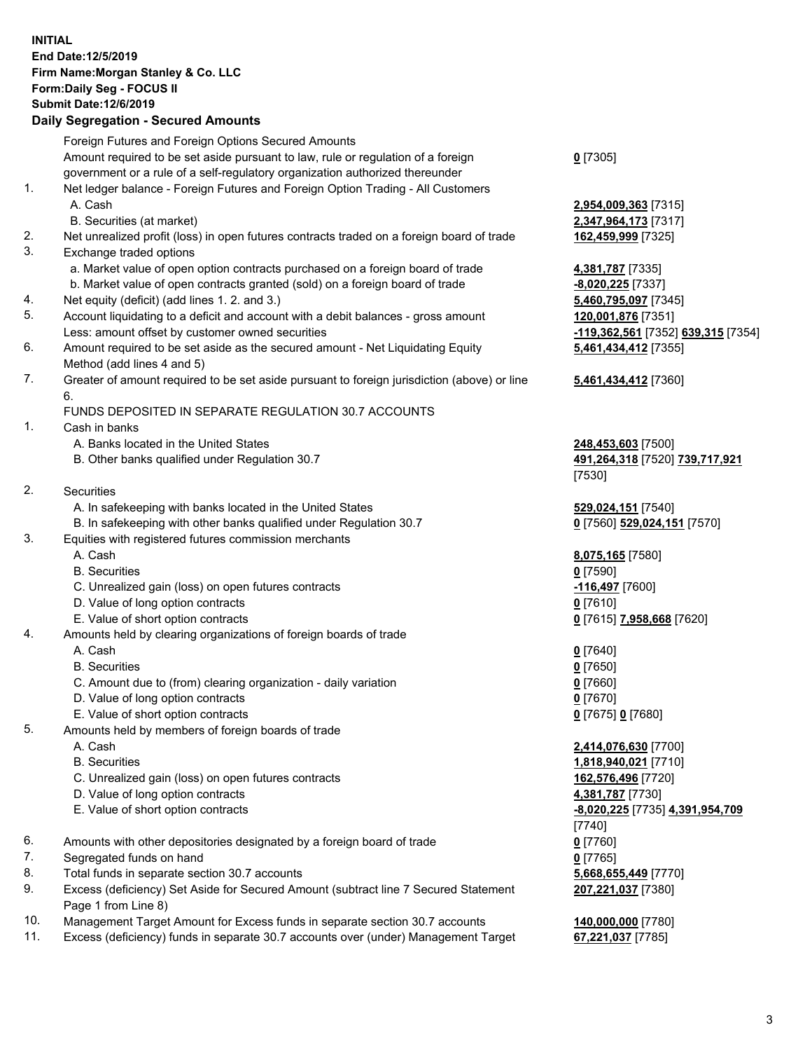## **INITIAL End Date:12/5/2019 Firm Name:Morgan Stanley & Co. LLC Form:Daily Seg - FOCUS II Submit Date:12/6/2019**

## **Daily Segregation - Secured Amounts**

|                | Foreign Futures and Foreign Options Secured Amounts                                                                                   |                                      |
|----------------|---------------------------------------------------------------------------------------------------------------------------------------|--------------------------------------|
|                | Amount required to be set aside pursuant to law, rule or regulation of a foreign                                                      | $0$ [7305]                           |
|                | government or a rule of a self-regulatory organization authorized thereunder                                                          |                                      |
| 1.             | Net ledger balance - Foreign Futures and Foreign Option Trading - All Customers                                                       |                                      |
|                | A. Cash                                                                                                                               | 2,954,009,363 [73                    |
|                | B. Securities (at market)                                                                                                             | 2,347,964,173 [73                    |
| 2.<br>3.       | Net unrealized profit (loss) in open futures contracts traded on a foreign board of trade                                             | 162,459,999 [732                     |
|                | Exchange traded options                                                                                                               |                                      |
|                | a. Market value of open option contracts purchased on a foreign board of trade                                                        | 4,381,787 [7335]                     |
|                | b. Market value of open contracts granted (sold) on a foreign board of trade                                                          | <u>-8,020,225</u> [7337]             |
| 4.<br>5.       | Net equity (deficit) (add lines 1. 2. and 3.)                                                                                         | 5,460,795,097 [73                    |
|                | Account liquidating to a deficit and account with a debit balances - gross amount<br>Less: amount offset by customer owned securities | 120,001,876 [735<br>-119,362,561 [73 |
| 6.             | Amount required to be set aside as the secured amount - Net Liquidating Equity                                                        | 5,461,434,412 [73                    |
|                | Method (add lines 4 and 5)                                                                                                            |                                      |
| 7.             | Greater of amount required to be set aside pursuant to foreign jurisdiction (above) or line                                           | 5,461,434,412 [73                    |
|                | 6.                                                                                                                                    |                                      |
|                | FUNDS DEPOSITED IN SEPARATE REGULATION 30.7 ACCOUNTS                                                                                  |                                      |
| 1.             | Cash in banks                                                                                                                         |                                      |
|                | A. Banks located in the United States                                                                                                 | 248,453,603 [750                     |
|                | B. Other banks qualified under Regulation 30.7                                                                                        | 491,264,318 [752                     |
|                |                                                                                                                                       | [7530]                               |
| 2.             | Securities                                                                                                                            |                                      |
|                | A. In safekeeping with banks located in the United States                                                                             | 529,024,151 [754                     |
|                | B. In safekeeping with other banks qualified under Regulation 30.7                                                                    | 0 [7560] 529,024,                    |
| 3.             | Equities with registered futures commission merchants                                                                                 |                                      |
|                | A. Cash                                                                                                                               | 8,075,165 [7580]                     |
|                | <b>B.</b> Securities                                                                                                                  | $0$ [7590]                           |
|                | C. Unrealized gain (loss) on open futures contracts                                                                                   | -116,497 [7600]                      |
|                | D. Value of long option contracts                                                                                                     | $0$ [7610]                           |
|                | E. Value of short option contracts                                                                                                    | <u>0</u> [7615] 7,958,66             |
| 4.             | Amounts held by clearing organizations of foreign boards of trade                                                                     |                                      |
|                | A. Cash                                                                                                                               | $0$ [7640]                           |
|                | <b>B.</b> Securities                                                                                                                  | $0$ [7650]                           |
|                | C. Amount due to (from) clearing organization - daily variation                                                                       | $0$ [7660]                           |
|                | D. Value of long option contracts                                                                                                     | $0$ [7670]                           |
|                | E. Value of short option contracts                                                                                                    | 0 [7675] 0 [7680]                    |
| 5.             | Amounts held by members of foreign boards of trade                                                                                    |                                      |
|                | A. Cash                                                                                                                               | 2,414,076,630 [77                    |
|                | <b>B.</b> Securities                                                                                                                  | 1,818,940,021 [77                    |
|                | C. Unrealized gain (loss) on open futures contracts                                                                                   | 162,576,496 [772                     |
|                | D. Value of long option contracts                                                                                                     | 4,381,787 [7730]                     |
|                | E. Value of short option contracts                                                                                                    | -8,020,225 [7735]<br>[7740]          |
| 6.             | Amounts with other depositories designated by a foreign board of trade                                                                | $0$ [7760]                           |
| 7.             | Segregated funds on hand                                                                                                              | $0$ [7765]                           |
| 8.             | Total funds in separate section 30.7 accounts                                                                                         | 5,668,655,449 [77                    |
| 9.             | Excess (deficiency) Set Aside for Secured Amount (subtract line 7 Secured Statement                                                   | 207,221,037 [738                     |
|                | Page 1 from Line 8)                                                                                                                   |                                      |
| $\overline{A}$ |                                                                                                                                       | 0.000000000                          |

- 10. Management Target Amount for Excess funds in separate section 30.7 accounts **140,000,000** [7780]
- 11. Excess (deficiency) funds in separate 30.7 accounts over (under) Management Target **67,221,037** [7785]

 A. Cash **2,954,009,363** [7315] 864,173 [7317] 2. Net unrealized profits (loss) in the set of the set of the set of the set of the set of the *19.999* [7325]

<mark>795,097</mark> [7345] 5. Account 1,876 [7351] Less: amount offset by customer owned securities **-119,362,561** [7352] **639,315** [7354] **5,461,434,412** [7355]

## **5,461,434,412** [7360]

 $3,603$  [7500] B. Other banks qualified under Regulation 30.7 **491,264,318** [7520] **739,717,921**

4,151 [7540] B. In safe **529,024,151** [7570]

E. Value of short option contracts **0** [7615] **7,958,668** [7620]

076,630 [7700] **940,021** [7710] C. 496 [7720] E. Value of short option contracts **-8,020,225** [7735] **4,391,954,709 855,449** [7770] **207,221,037** [7380]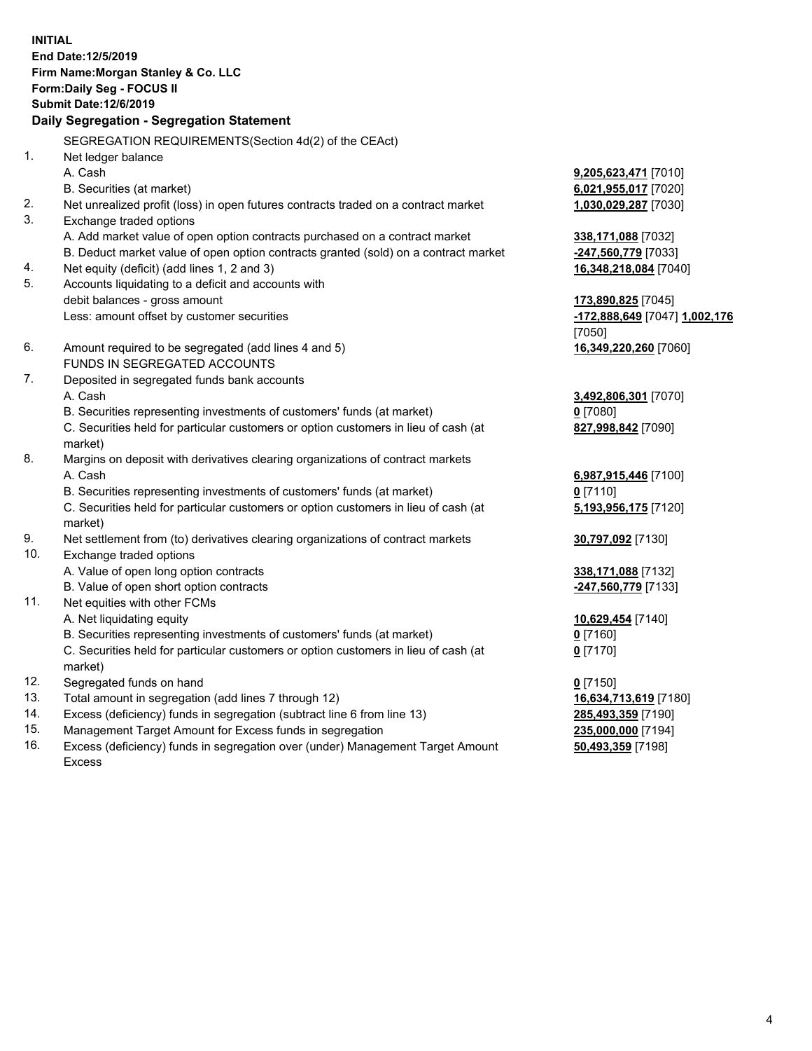**INITIAL End Date:12/5/2019 Firm Name:Morgan Stanley & Co. LLC Form:Daily Seg - FOCUS II Submit Date:12/6/2019 Daily Segregation - Segregation Statement** SEGREGATION REQUIREMENTS(Section 4d(2) of the CEAct) 1. Net ledger balance A. Cash **9,205,623,471** [7010] B. Securities (at market) **6,021,955,017** [7020] 2. Net unrealized profit (loss) in open futures contracts traded on a contract market **1,030,029,287** [7030] 3. Exchange traded options A. Add market value of open option contracts purchased on a contract market **338,171,088** [7032] B. Deduct market value of open option contracts granted (sold) on a contract market **-247,560,779** [7033] 4. Net equity (deficit) (add lines 1, 2 and 3) **16,348,218,084** [7040] 5. Accounts liquidating to a deficit and accounts with debit balances - gross amount **173,890,825** [7045] Less: amount offset by customer securities **-172,888,649** [7047] **1,002,176** [7050] 6. Amount required to be segregated (add lines 4 and 5) **16,349,220,260** [7060] FUNDS IN SEGREGATED ACCOUNTS 7. Deposited in segregated funds bank accounts A. Cash **3,492,806,301** [7070] B. Securities representing investments of customers' funds (at market) **0** [7080] C. Securities held for particular customers or option customers in lieu of cash (at market) **827,998,842** [7090] 8. Margins on deposit with derivatives clearing organizations of contract markets A. Cash **6,987,915,446** [7100] B. Securities representing investments of customers' funds (at market) **0** [7110] C. Securities held for particular customers or option customers in lieu of cash (at market) **5,193,956,175** [7120] 9. Net settlement from (to) derivatives clearing organizations of contract markets **30,797,092** [7130] 10. Exchange traded options A. Value of open long option contracts **338,171,088** [7132] B. Value of open short option contracts **-247,560,779** [7133] 11. Net equities with other FCMs A. Net liquidating equity **10,629,454** [7140] B. Securities representing investments of customers' funds (at market) **0** [7160] C. Securities held for particular customers or option customers in lieu of cash (at market) **0** [7170] 12. Segregated funds on hand **0** [7150] 13. Total amount in segregation (add lines 7 through 12) **16,634,713,619** [7180] 14. Excess (deficiency) funds in segregation (subtract line 6 from line 13) **285,493,359** [7190]

- 15. Management Target Amount for Excess funds in segregation **235,000,000** [7194]
- 16. Excess (deficiency) funds in segregation over (under) Management Target Amount Excess

**50,493,359** [7198]